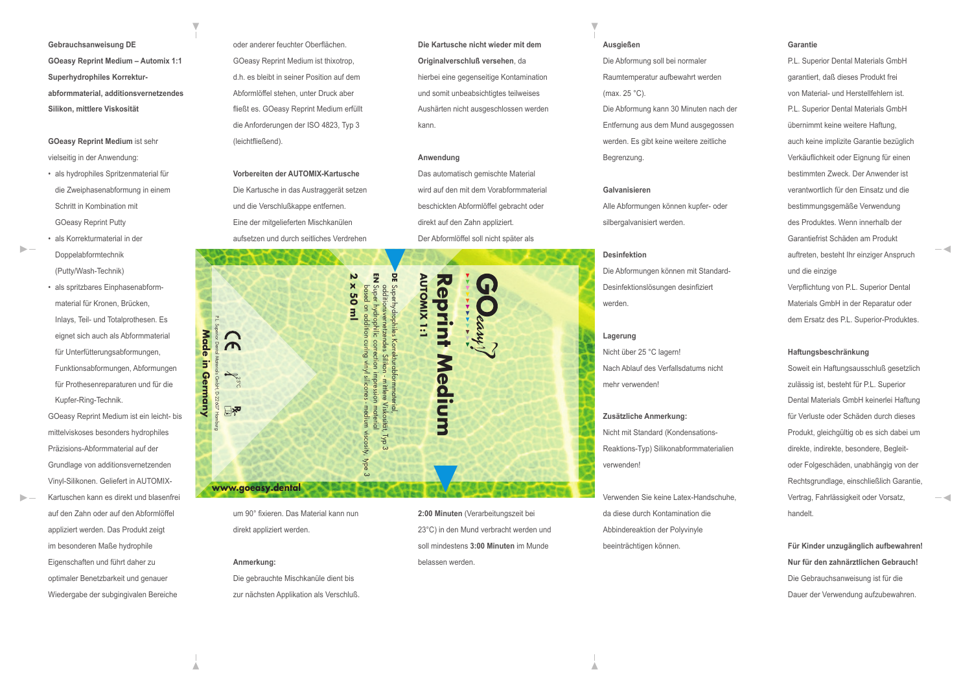**Gebrauchsanweisung DE GOeasy Reprint Medium – Automix 1:1 Superhydrophiles Korrekturabformmaterial, additionsvernetzendes Silikon, mittlere Viskosität**

# **GOeasy Reprint Medium** ist sehr vielseitig in der Anwendung:

- als hydrophiles Spritzenmaterial für die Zweiphasenabformung in einem Schritt in Kombination mit GOeasy Reprint Putty
- als Korrekturmaterial in der Doppelabformtechnik (Putty/Wash-Technik)
- als spritzbares Einphasenabform material für Kronen, Brücken, Inlays, Teil- und Totalprothesen. Es eignet sich auch als Abformmaterial für Unterfütterungsabformungen, Funktionsabformungen, Abformungen für Prothesenreparaturen und für die Kupfer-Ring-Technik. GOeasy Reprint Medium ist ein leicht- bis
- mittelviskoses besonders hydrophiles Präzisions-Abformmaterial auf der Grundlage von additionsvernetzenden Vinyl-Silikonen. Geliefert in AUTOMIX-Kartuschen kann es direkt und blasenfrei auf den Zahn oder auf den Abformlöffel appliziert werden. Das Produkt zeigt im besonderen Maße hydrophile Eigenschaften und führt daher zu optimaler Benetzbarkeit und genauer Wiedergabe der subgingivalen Bereiche

oder anderer feuchter Oberflächen. GOeasy Reprint Medium ist thixotrop, d.h. es bleibt in seiner Position auf dem Abformlöffel stehen, unter Druck aber fließt es. GOeasy Reprint Medium erfüllt die Anforderungen der ISO 4823, Typ 3 (leichtfließend).

**Vorbereiten der AUTOMIX-Kartusche** Die Kartusche in das Austraggerät setzen und die Verschlußkappe entfernen. Eine der mitgelieferten Mischkanülen aufsetzen und durch seitliches Verdrehen



um 90° fixieren. Das Material kann nun direkt appliziert werden.

#### **Anmerkung:**

Die gebrauchte Mischkanüle dient bis zur nächsten Applikation als Verschluß. **Die Kartusche nicht wieder mit dem Originalverschluß versehen**, da hierbei eine gegenseitige Kontamination und somit unbeabsichtigtes teilweises Aushärten nicht ausgeschlossen werden kann.

#### **Anwendung**

Das automatisch gemischte Material wird auf den mit dem Vorabformmaterial beschickten Abformlöffel gebracht oder direkt auf den Zahn appliziert. Der Abformlöffel soll nicht später als

23°C) in den Mund verbracht werden und soll mindestens **3:00 Minuten** im Munde

belassen werden.

# **Ausgießen**

Die Abformung soll bei normaler Raumtemperatur aufbewahrt werden (max. 25 °C).

Die Abformung kann 30 Minuten nach der Entfernung aus dem Mund ausgegossen werden. Es gibt keine weitere zeitliche Begrenzung.

# **Galvanisieren**

Alle Abformungen können kupfer- oder silbergalvanisiert werden.

#### **Desinfektion**

Die Abformungen können mit Standard-Desinfektionslösungen desinfiziert werden.

### **Lagerung**

Nicht über 25 °C lagern! Nach Ablauf des Verfallsdatums nicht mehr verwenden!

# **Zusätzliche Anmerkung:**  Nicht mit Standard (Kondensations-Reaktions-Typ) Silikonabformmaterialien verwenden!

Verwenden Sie keine Latex-Handschuhe, da diese durch Kontamination die Abbindereaktion der Polyvinyle beeinträchtigen können.

# **Garantie**

P.L. Superior Dental Materials GmbH garantiert, daß dieses Produkt frei von Material- und Herstellfehlern ist. P.L. Superior Dental Materials GmbH übernimmt keine weitere Haftung, auch keine implizite Garantie bezüglich Verkäuflichkeit oder Eignung für einen bestimmten Zweck. Der Anwender ist verantwortlich für den Einsatz und die bestimmungsgemäße Verwendung des Produktes. Wenn innerhalb der Garantiefrist Schäden am Produkt auftreten, besteht Ihr einziger Anspruch und die einzige Verpflichtung von P.L. Superior Dental Materials GmbH in der Reparatur oder dem Ersatz des P.L. Superior-Produktes.

#### **Haftungsbeschränkung**

Soweit ein Haftungsausschluß gesetzlich zulässig ist, besteht für P.L. Superior Dental Materials GmbH keinerlei Haftung für Verluste oder Schäden durch dieses Produkt, gleichgültig ob es sich dabei um direkte, indirekte, besondere, Begleitoder Folgeschäden, unabhängig von der Rechtsgrundlage, einschließlich Garantie, Vertrag, Fahrlässigkeit oder Vorsatz, handelt.

**Für Kinder unzugänglich aufbewahren! Nur für den zahnärztlichen Gebrauch!**Die Gebrauchsanweisung ist für die Dauer der Verwendung aufzubewahren.